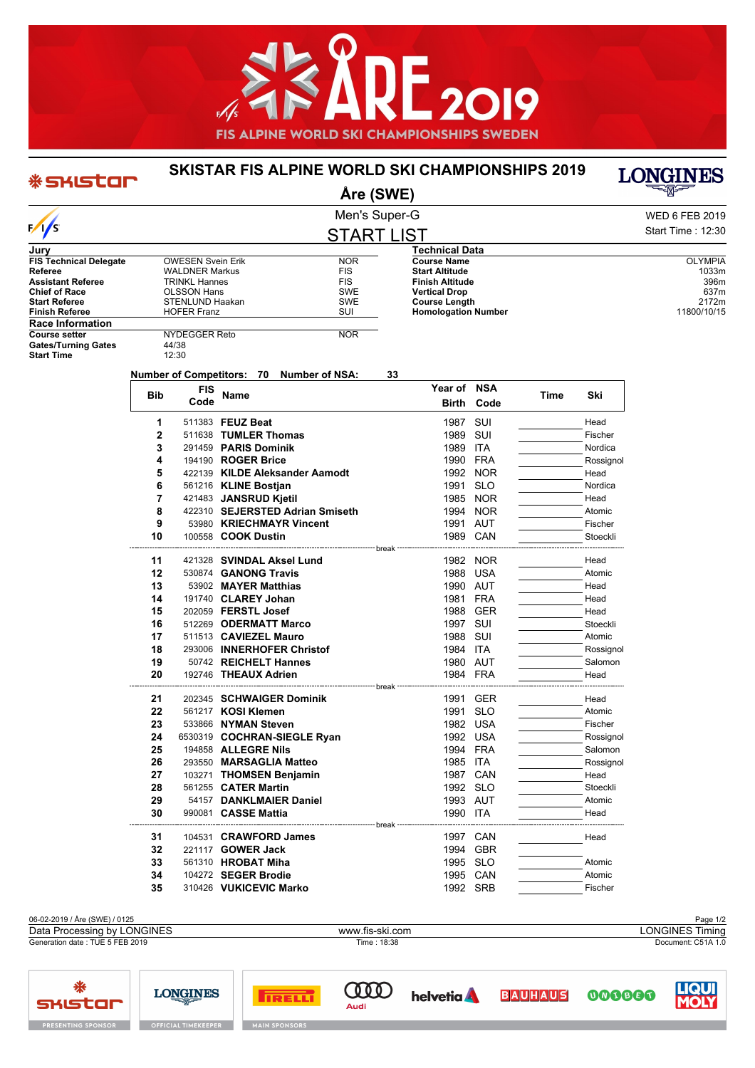

## **SKISTAR FIS ALPINE WORLD SKI CHAMPIONSHIPS 2019**

## \* SKIStar

**Åre (SWE)**

| Men's Super-G | <b>WED 6 FEB 2019</b> |
|---------------|-----------------------|
| START I IST   | Start Time: 12:30     |

**Year of NSA**

**Birth Code**

**Time Ski**

**BAUHAUS** 

|                               |                          | <b>START LIST</b> |                            |  |
|-------------------------------|--------------------------|-------------------|----------------------------|--|
| Jury                          |                          |                   | <b>Technical Data</b>      |  |
| <b>FIS Technical Delegate</b> | <b>OWESEN Svein Erik</b> | <b>NOR</b>        | <b>Course Name</b>         |  |
| Referee                       | <b>WALDNER Markus</b>    | <b>FIS</b>        | <b>Start Altitude</b>      |  |
| <b>Assistant Referee</b>      | <b>TRINKL Hannes</b>     | <b>FIS</b>        | <b>Finish Altitude</b>     |  |
| <b>Chief of Race</b>          | <b>OLSSON Hans</b>       | <b>SWE</b>        | <b>Vertical Drop</b>       |  |
| <b>Start Referee</b>          | STENLUND Haakan          | <b>SWE</b>        | <b>Course Length</b>       |  |
| <b>Finish Referee</b>         | <b>HOFER Franz</b>       | SUI               | <b>Homologation Number</b> |  |
| <b>Race Information</b>       |                          |                   |                            |  |
| <b>Course setter</b>          | NYDEGGER Reto            | <b>NOR</b>        |                            |  |
|                               |                          |                   |                            |  |

**Code Name**

**Bib FIS**

**Start Time** 

₩

**SHIStar** 

Gates/Turning Gates<br>Start Time 12:30 **Number of Competitors: 70 Number of NSA: 33**

## **1** 511383 **FEUZ Beat** 1987 SUI Head **2** 511638 **TUMLER Thomas** 1989 SUI Fischer **3** 291459 **PARIS Dominik** 1989 ITA Nordica **4** 194190 **ROGER Brice** 1990 FRA Rossignol **5** 422139 KILDE Aleksander Aamodt 1992 NOR Head **6** 561216 **KLINE Bostjan** 1991 SLO 2008 2007 Nordica<br> **7** 421483 JANSRUD Kjetil 1985 NOR Head **721483 JANSRUD Kjetil** 1985 NOR Head **8** 422310 **SEJERSTED Adrian Smiseth** 1994 NOR **Atomic** Atomic **9** 53980 **KRIECHMAYR Vincent** 1991 AUT Fischer **10 100558 COOK Dustin 1989 CAN Stoeckli** break **11** 421328 **SVINDAL Aksel Lund** 1982 NOR Head **12** 530874 **GANONG Travis 1988 USA 1988 USA** Atomic **13** 53902 **MAYER Matthias 13** 53902 **MAYER Matthias** 1990 AUT 1990 AUT Head<br>**14** 191740 **CLAREY Johan** 1981 FRA Head **14** 191740 **CLAREY Johan** 1981 **FRA** Head **15** 202059 **FERSTL Josef** 1988 GER Head **16** 512269 **ODERMATT Marco 1997 SUI Stoeckli 17** 511513 **CAVIEZEL Mauro 1988 SUI Atomic 1988 SUI** Atomic **18** Atomic **18** 293006 **INNERHOFER Christof 1984 ITA 18** 293006 **INNERHOFER Christof** 1984 ITA break

| 19 | 50742 REICHELT Hannes       |          | 1980 AUT   | Salomon   |
|----|-----------------------------|----------|------------|-----------|
| 20 | 192746 THEAUX Adrien        |          | 1984 FRA   | Head      |
|    |                             |          |            |           |
| 21 | 202345 SCHWAIGER Dominik    | 1991     | <b>GER</b> | Head      |
| 22 | 561217 KOSI Klemen          | 1991     | <b>SLO</b> | Atomic    |
| 23 | 533866 NYMAN Steven         | 1982     | <b>USA</b> | Fischer   |
| 24 | 6530319 COCHRAN-SIEGLE Ryan | 1992     | <b>USA</b> | Rossignol |
| 25 | 194858 ALLEGRE Nils         | 1994     | <b>FRA</b> | Salomon   |
| 26 | 293550 MARSAGLIA Matteo     | 1985     | <b>ITA</b> | Rossignol |
| 27 | 103271 THOMSEN Benjamin     | 1987     | CAN        | Head      |
| 28 | 561255 <b>CATER Martin</b>  | 1992     | <b>SLO</b> | Stoeckli  |
| 29 | 54157 DANKLMAIER Daniel     | 1993     | AUT        | Atomic    |
| 30 | 990081 CASSE Mattia         | 1990 ITA |            | Head      |
|    |                             | break -  |            |           |
| 31 | 104531 CRAWFORD James       | 1997     | CAN        | Head      |
| 32 | 221117 <b>GOWER Jack</b>    | 1994     | <b>GBR</b> |           |
| 33 | 561310 HROBAT Miha          | 1995     | <b>SLO</b> | Atomic    |
| 34 | 104272 SEGER Brodie         | 1995     | CAN        | Atomic    |
| 35 | 310426 VUKICEVIC Marko      |          | 1992 SRB   | Fischer   |
|    |                             |          |            |           |



**CELED** 

Audi

helvetia **A** 



**LONGINES** 

**Start Altitude** 1033m<br> **Start Altitude** 1033m<br>
Start Altitude 1036m **Finish Altitude** 396m **Francisco Communical Drop** 637m<br> **Vertical Drop** 637m<br> **Vertical Drop** 637m **Course Length** 2172m



000000

**TRELLI** 

**LONGINES**